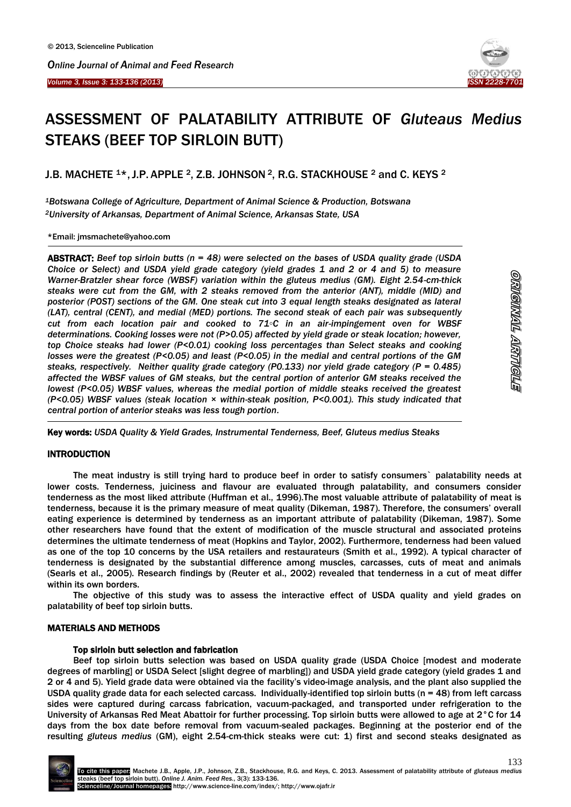



# ASSESSMENT OF PALATABILITY ATTRIBUTE OF *Gluteaus Medius* STEAKS (BEEF TOP SIRLOIN BUTT)

J.B. MACHETE 1\*, J.P. APPLE 2, Z.B. JOHNSON 2, R.G. STACKHOUSE 2 and C. KEYS 2

*<sup>1</sup>Botswana College of Agriculture, Department of Animal Science & Production, Botswana <sup>2</sup>University of Arkansas, Department of Animal Science, Arkansas State, USA*

\*Email: jmsmachete@yahoo.com

-

ABSTRACT: *Beef top sirloin butts (n = 48) were selected on the bases of USDA quality grade (USDA Choice or Select) and USDA yield grade category (yield grades 1 and 2 or 4 and 5) to measure Warner-Bratzler shear force (WBSF) variation within the gluteus medius (GM). Eight 2.54-cm-thick steaks were cut from the GM, with 2 steaks removed from the anterior (ANT), middle (MID) and posterior (POST) sections of the GM. One steak cut into 3 equal length steaks designated as lateral (LAT), central (CENT), and medial (MED) portions. The second steak of each pair was subsequently cut from each location pair and cooked to 71◦C in an air-impingement oven for WBSF determinations. Cooking losses were not (P>0.05) affected by yield grade or steak location; however, top Choice steaks had lower (P<0.01) cooking loss percentages than Select steaks and cooking losses were the greatest (P<0.05) and least (P<0.05) in the medial and central portions of the GM steaks, respectively. Neither quality grade category (P0.133) nor yield grade category (P = 0.485) affected the WBSF values of GM steaks, but the central portion of anterior GM steaks received the lowest (P<0.05) WBSF values, whereas the medial portion of middle steaks received the greatest (P<0.05) WBSF values (steak location × within-steak position, P<0.001). This study indicated that central portion of anterior steaks was less tough portion.*

Key words: *USDA Quality & Yield Grades, Instrumental Tenderness, Beef, Gluteus medius Steaks*

# INTRODUCTION

 $\overline{a}$ 

The meat industry is still trying hard to produce beef in order to satisfy consumers` palatability needs at lower costs. Tenderness, juiciness and flavour are evaluated through palatability, and consumers consider tenderness as the most liked attribute (Huffman et al., 1996).The most valuable attribute of palatability of meat is tenderness, because it is the primary measure of meat quality (Dikeman, 1987). Therefore, the consumers' overall eating experience is determined by tenderness as an important attribute of palatability (Dikeman, 1987). Some other researchers have found that the extent of modification of the muscle structural and associated proteins determines the ultimate tenderness of meat (Hopkins and Taylor, 2002). Furthermore, tenderness had been valued as one of the top 10 concerns by the USA retailers and restaurateurs (Smith et al., 1992). A typical character of tenderness is designated by the substantial difference among muscles, carcasses, cuts of meat and animals (Searls et al., 2005). Research findings by (Reuter et al., 2002) revealed that tenderness in a cut of meat differ within its own borders.

The objective of this study was to assess the interactive effect of USDA quality and yield grades on palatability of beef top sirloin butts.

# MATERIALS AND METHODS

#### Top sirloin butt selection and fabrication

Beef top sirloin butts selection was based on USDA quality grade (USDA Choice [modest and moderate degrees of marbling] or USDA Select [slight degree of marbling]) and USDA yield grade category (yield grades 1 and 2 or 4 and 5). Yield grade data were obtained via the facility's video-image analysis, and the plant also supplied the USDA quality grade data for each selected carcass. Individually-identified top sirloin butts (n = 48) from left carcass sides were captured during carcass fabrication, vacuum-packaged, and transported under refrigeration to the University of Arkansas Red Meat Abattoir for further processing. Top sirloin butts were allowed to age at 2°C for 14 days from the box date before removal from vacuum-sealed packages. Beginning at the posterior end of the resulting *gluteus medius* (GM), eight 2.54-cm-thick steaks were cut: 1) first and second steaks designated as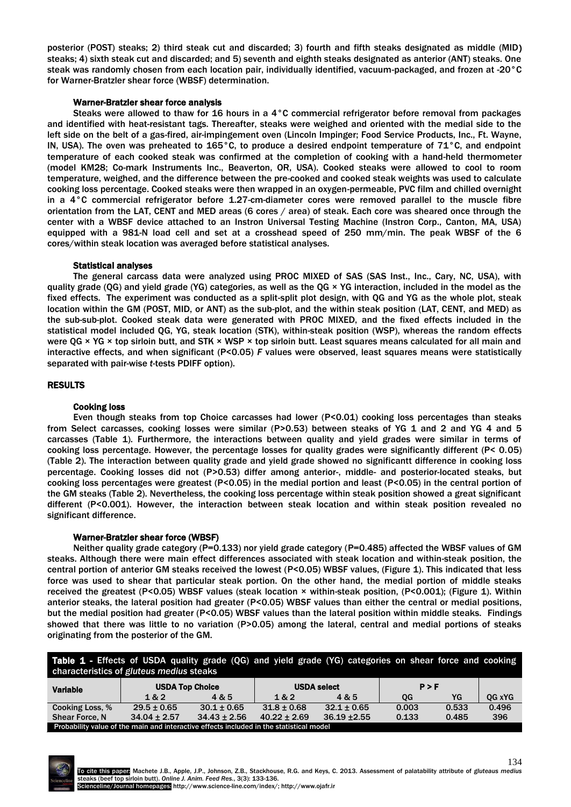posterior (POST) steaks; 2) third steak cut and discarded; 3) fourth and fifth steaks designated as middle (MID) steaks; 4) sixth steak cut and discarded; and 5) seventh and eighth steaks designated as anterior (ANT) steaks. One steak was randomly chosen from each location pair, individually identified, vacuum-packaged, and frozen at -20°C for Warner-Bratzler shear force (WBSF) determination.

# Warner-Bratzler shear force analysis

Steaks were allowed to thaw for 16 hours in a 4°C commercial refrigerator before removal from packages and identified with heat-resistant tags. Thereafter, steaks were weighed and oriented with the medial side to the left side on the belt of a gas-fired, air-impingement oven (Lincoln Impinger; Food Service Products, Inc., Ft. Wayne, IN, USA). The oven was preheated to 165°C, to produce a desired endpoint temperature of 71°C, and endpoint temperature of each cooked steak was confirmed at the completion of cooking with a hand-held thermometer (model KM28; Co-mark Instruments Inc., Beaverton, OR, USA). Cooked steaks were allowed to cool to room temperature, weighed, and the difference between the pre-cooked and cooked steak weights was used to calculate cooking loss percentage. Cooked steaks were then wrapped in an oxygen-permeable, PVC film and chilled overnight in a 4°C commercial refrigerator before 1.27-cm-diameter cores were removed parallel to the muscle fibre orientation from the LAT, CENT and MED areas (6 cores / area) of steak. Each core was sheared once through the center with a WBSF device attached to an Instron Universal Testing Machine (Instron Corp., Canton, MA, USA) equipped with a 981-N load cell and set at a crosshead speed of 250 mm/min. The peak WBSF of the 6 cores/within steak location was averaged before statistical analyses.

# Statistical analyses

The general carcass data were analyzed using PROC MIXED of SAS (SAS Inst., Inc., Cary, NC, USA), with quality grade (QG) and yield grade (YG) categories, as well as the QG × YG interaction, included in the model as the fixed effects. The experiment was conducted as a split-split plot design, with QG and YG as the whole plot, steak location within the GM (POST, MID, or ANT) as the sub-plot, and the within steak position (LAT, CENT, and MED) as the sub-sub-plot. Cooked steak data were generated with PROC MIXED, and the fixed effects included in the statistical model included QG, YG, steak location (STK), within-steak position (WSP), whereas the random effects were QG  $\times$  YG  $\times$  top sirloin butt, and STK  $\times$  WSP  $\times$  top sirloin butt. Least squares means calculated for all main and interactive effects, and when significant (P<0.05) *F* values were observed, least squares means were statistically separated with pair-wise *t*-tests PDIFF option).

# RESULTS

#### Cooking loss

Even though steaks from top Choice carcasses had lower (P<0.01) cooking loss percentages than steaks from Select carcasses, cooking losses were similar (P>0.53) between steaks of YG 1 and 2 and YG 4 and 5 carcasses (Table 1). Furthermore, the interactions between quality and yield grades were similar in terms of cooking loss percentage. However, the percentage losses for quality grades were significantly different (P< 0.05) (Table 2). The interaction between quality grade and yield grade showed no significantt difference in cooking loss percentage. Cooking losses did not (P>0.53) differ among anterior-, middle- and posterior-located steaks, but cooking loss percentages were greatest (P<0.05) in the medial portion and least (P<0.05) in the central portion of the GM steaks (Table 2). Nevertheless, the cooking loss percentage within steak position showed a great significant different (P<0.001). However, the interaction between steak location and within steak position revealed no significant difference.

#### Warner-Bratzler shear force (WBSF)

Neither quality grade category (P=0.133) nor yield grade category (P=0.485) affected the WBSF values of GM steaks. Although there were main effect differences associated with steak location and within-steak position, the central portion of anterior GM steaks received the lowest (P<0.05) WBSF values, (Figure 1). This indicated that less force was used to shear that particular steak portion. On the other hand, the medial portion of middle steaks received the greatest (P<0.05) WBSF values (steak location × within-steak position, (P<0.001); (Figure 1). Within anterior steaks, the lateral position had greater (P<0.05) WBSF values than either the central or medial positions, but the medial position had greater (P<0.05) WBSF values than the lateral position within middle steaks. Findings showed that there was little to no variation (P>0.05) among the lateral, central and medial portions of steaks originating from the posterior of the GM.

Table 1 - Effects of USDA quality grade (QG) and yield grade (YG) categories on shear force and cooking characteristics of *gluteus medius* steaks

| <b>Characteristics of gluteus fileulus steaks</b>                                       |                        |                  |                  |                    |       |       |        |  |  |  |
|-----------------------------------------------------------------------------------------|------------------------|------------------|------------------|--------------------|-------|-------|--------|--|--|--|
| <b>Variable</b>                                                                         | <b>USDA Top Choice</b> |                  |                  | <b>USDA select</b> | P > F |       |        |  |  |  |
|                                                                                         | 1 & 2                  | 4 & 5            | 1&2              | 4 & 5              | OG    | YG    | OG xYG |  |  |  |
| Cooking Loss, %                                                                         | $29.5 \pm 0.65$        | $30.1 \pm 0.65$  | $31.8 \pm 0.68$  | $32.1 \pm 0.65$    | 0.003 | 0.533 | 0.496  |  |  |  |
| <b>Shear Force, N</b>                                                                   | $34.04 \pm 2.57$       | $34.43 \pm 2.56$ | $40.22 \pm 2.69$ | $36.19 + 2.55$     | 0.133 | 0.485 | 396    |  |  |  |
| Probability value of the main and interactive effects included in the statistical model |                        |                  |                  |                    |       |       |        |  |  |  |

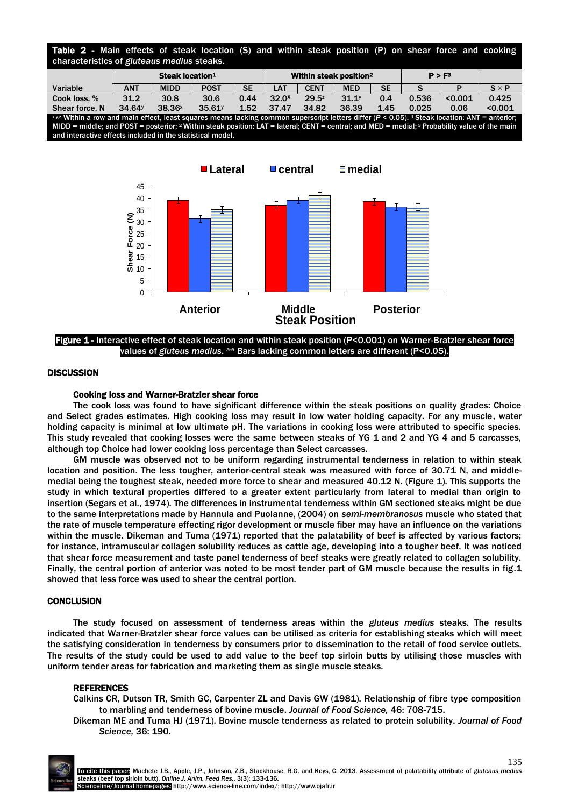| Table 2 - Main effects of steak location (S) and within steak position (P) on shear force and cooking<br>characteristics of gluteaus medius steaks.                                                                                                                                                                                                                                 |                             |                    |             |           |                                    |             |                   |           |                    |         |              |
|-------------------------------------------------------------------------------------------------------------------------------------------------------------------------------------------------------------------------------------------------------------------------------------------------------------------------------------------------------------------------------------|-----------------------------|--------------------|-------------|-----------|------------------------------------|-------------|-------------------|-----------|--------------------|---------|--------------|
|                                                                                                                                                                                                                                                                                                                                                                                     | Steak location <sup>1</sup> |                    |             |           | Within steak position <sup>2</sup> |             |                   |           | P > F <sup>3</sup> |         |              |
| Variable                                                                                                                                                                                                                                                                                                                                                                            | <b>ANT</b>                  | <b>MIDD</b>        | <b>POST</b> | <b>SE</b> | <b>LAT</b>                         | <b>CENT</b> | <b>MED</b>        | <b>SE</b> |                    |         | $S \times P$ |
| Cook loss, %                                                                                                                                                                                                                                                                                                                                                                        | 31.2                        | 30.8               | 30.6        | 0.44      | 32.0 <sup>x</sup>                  | $29.5^z$    | 31.1 <sup>y</sup> | 0.4       | 0.536              | < 0.001 | 0.425        |
| Shear force, N                                                                                                                                                                                                                                                                                                                                                                      | 34.64 <sup>y</sup>          | 38.36 <sup>x</sup> | 35.61       | 1.52      | 37.47                              | 34.82       | 36.39             | 1.45      | 0.025              | 0.06    | < 0.001      |
| xyz Within a row and main effect, least squares means lacking common superscript letters differ (P < 0.05). 1 Steak location: ANT = anterior:<br>MIDD = middle; and POST = posterior; <sup>2</sup> Within steak position: LAT = lateral; CENT = central; and MED = medial; <sup>3</sup> Probability value of the main<br>and interactive effects included in the statistical model. |                             |                    |             |           |                                    |             |                   |           |                    |         |              |



Figure 1 - Interactive effect of steak location and within steak position (P<0.001) on Warner-Bratzler shear force values of gluteus medius. <sup>a-e</sup> Bars lacking common letters are different (P<0.05).

# **DISCUSSION**

# Cooking loss and Warner-Bratzler shear force

The cook loss was found to have significant difference within the steak positions on quality grades: Choice and Select grades estimates. High cooking loss may result in low water holding capacity. For any muscle, water holding capacity is minimal at low ultimate pH. The variations in cooking loss were attributed to specific species. This study revealed that cooking losses were the same between steaks of YG 1 and 2 and YG 4 and 5 carcasses, although top Choice had lower cooking loss percentage than Select carcasses.

GM muscle was observed not to be uniform regarding instrumental tenderness in relation to within steak location and position. The less tougher, anterior-central steak was measured with force of 30.71 N, and middlemedial being the toughest steak, needed more force to shear and measured 40.12 N. (Figure 1). This supports the study in which textural properties differed to a greater extent particularly from lateral to medial than origin to insertion (Segars et al., 1974). The differences in instrumental tenderness within GM sectioned steaks might be due to the same interpretations made by Hannula and Puolanne, (2004) on *semi-membranosus* muscle who stated that the rate of muscle temperature effecting rigor development or muscle fiber may have an influence on the variations within the muscle. Dikeman and Tuma (1971) reported that the palatability of beef is affected by various factors; for instance, intramuscular collagen solubility reduces as cattle age, developing into a tougher beef. It was noticed that shear force measurement and taste panel tenderness of beef steaks were greatly related to collagen solubility. Finally, the central portion of anterior was noted to be most tender part of GM muscle because the results in fig.1 showed that less force was used to shear the central portion.

#### **CONCLUSION**

The study focused on assessment of tenderness areas within the *gluteus medius* steaks. The results indicated that Warner-Bratzler shear force values can be utilised as criteria for establishing steaks which will meet the satisfying consideration in tenderness by consumers prior to dissemination to the retail of food service outlets. The results of the study could be used to add value to the beef top sirloin butts by utilising those muscles with uniform tender areas for fabrication and marketing them as single muscle steaks.

#### **REFERENCES**

Calkins CR, Dutson TR, Smith GC, Carpenter ZL and Davis GW (1981). Relationship of fibre type composition to marbling and tenderness of bovine muscle. *Journal of Food Science,* 46: 708-715.

Dikeman ME and Tuma HJ (1971). Bovine muscle tenderness as related to protein solubility. *Journal of Food Science,* 36: 190.